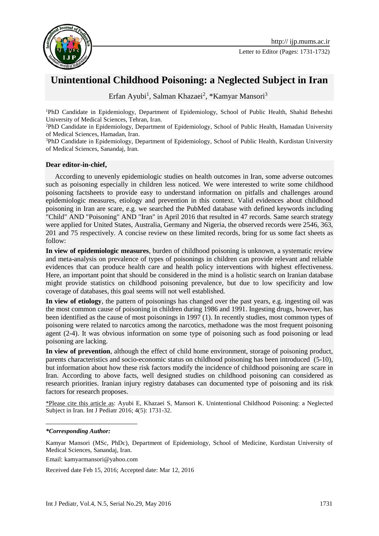

Letter to Editor (Pages: 1731-1732)

## **Unintentional Childhood Poisoning: a Neglected Subject in Iran**

Erfan Ayubi<sup>1</sup>, Salman Khazaei<sup>2</sup>, \*Kamyar Mansori<sup>3</sup>

<sup>1</sup>PhD Candidate in Epidemiology, Department of Epidemiology, School of Public Health, Shahid Beheshti University of Medical Sciences, Tehran, Iran.

<sup>2</sup>PhD Candidate in Epidemiology, Department of Epidemiology, School of Public Health, Hamadan University of Medical Sciences, Hamadan, Iran.

<sup>3</sup>PhD Candidate in Epidemiology, Department of Epidemiology, School of Public Health, Kurdistan University of Medical Sciences, Sanandaj, Iran.

## **Dear editor-in-chief,**

According to unevenly epidemiologic studies on health outcomes in Iran, some adverse outcomes such as poisoning especially in children less noticed. We were interested to write some childhood poisoning factsheets to provide easy to understand information on pitfalls and challenges around epidemiologic measures, etiology and prevention in this context. Valid evidences about childhood poisoning in Iran are scare, e.g. we searched the PubMed database with defined keywords including "Child" AND "Poisoning" AND "Iran" in April 2016 that resulted in 47 records. Same search strategy were applied for United States, Australia, Germany and Nigeria, the observed records were 2546, 363, 201 and 75 respectively. A concise review on these limited records, bring for us some fact sheets as follow:

**In view of epidemiologic measures**, burden of childhood poisoning is unknown, a systematic review and meta-analysis on prevalence of types of poisonings in children can provide relevant and reliable evidences that can produce health care and health policy interventions with highest effectiveness. Here, an important point that should be considered in the mind is a holistic search on Iranian database might provide statistics on childhood poisoning prevalence, but due to low specificity and low coverage of databases, this goal seems will not well established.

**In view of etiology**, the pattern of poisonings has changed over the past years, e.g. ingesting oil was the most common cause of poisoning in children during 1986 and 1991. Ingesting drugs, however, has been identified as the cause of most poisonings in 1997 [\(1\)](#page-1-0). In recently studies, most common types of poisoning were related to narcotics among the narcotics, methadone was the most frequent poisoning agent [\(2-4\)](#page-1-1). It was obvious information on some type of poisoning such as food poisoning or lead poisoning are lacking.

**In view of prevention**, although the effect of child home environment, storage of poisoning product, parents characteristics and socio-economic status on childhood poisoning has been introduced [\(5-10\)](#page-1-2), but information about how these risk factors modify the incidence of childhood poisoning are scare in Iran. According to above facts, well designed studies on childhood poisoning can considered as research priorities. Iranian injury registry databases can documented type of poisoning and its risk factors for research proposes.

\*Please cite this article as: Ayubi E, Khazaei S, Mansori K. Unintentional Childhood Poisoning: a Neglected Subject in Iran. Int J Pediatr 2016; 4(5): 1731-32.

**.** 

Kamyar Mansori (MSc, PhDc), Department of Epidemiology, School of Medicine, Kurdistan University of Medical Sciences, Sanandaj, Iran.

Email: [kamyarmansori@yahoo.com](mailto:kamyarmansori@yahoo.com)

Received date Feb 15, 2016; Accepted date: Mar 12, 2016

*<sup>\*</sup>Corresponding Author:*